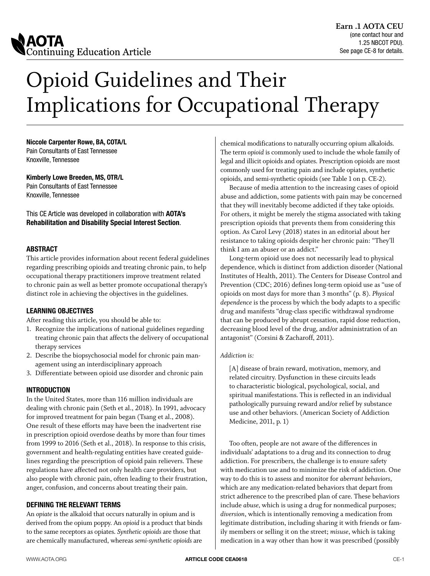

# Opioid Guidelines and Their Implications for Occupational Therapy

**Niccole Carpenter Rowe, BA, COTA/L**

Pain Consultants of East Tennessee Knoxville, Tennessee

#### **Kimberly Lowe Breeden, MS, OTR/L**

Pain Consultants of East Tennessee Knoxville, Tennessee

This CE Article was developed in collaboration with **AOTA's Rehabilitation and Disability Special Interest Section**.

#### **ABSTRACT**

This article provides information about recent federal guidelines regarding prescribing opioids and treating chronic pain, to help occupational therapy practitioners improve treatment related to chronic pain as well as better promote occupational therapy's distinct role in achieving the objectives in the guidelines.

#### **LEARNING OBJECTIVES**

After reading this article, you should be able to:

- 1. Recognize the implications of national guidelines regarding treating chronic pain that affects the delivery of occupational therapy services
- 2. Describe the biopsychosocial model for chronic pain management using an interdisciplinary approach
- 3. Differentiate between opioid use disorder and chronic pain

#### **INTRODUCTION**

In the United States, more than 116 million individuals are dealing with chronic pain (Seth et al., 2018). In 1991, advocacy for improved treatment for pain began (Tsang et al., 2008). One result of these efforts may have been the inadvertent rise in prescription opioid overdose deaths by more than four times from 1999 to 2016 (Seth et al., 2018). In response to this crisis, government and health-regulating entities have created guidelines regarding the prescription of opioid pain relievers. These regulations have affected not only health care providers, but also people with chronic pain, often leading to their frustration, anger, confusion, and concerns about treating their pain.

#### **DEFINING THE RELEVANT TERMS**

An *opiate* is the alkaloid that occurs naturally in opium and is derived from the opium poppy. An *opioid* is a product that binds to the same receptors as opiates. *Synthetic opioids* are those that are chemically manufactured, whereas *semi-synthetic opioids* are

chemical modifications to naturally occurring opium alkaloids. The term *opioid* is commonly used to include the whole family of legal and illicit opioids and opiates. Prescription opioids are most commonly used for treating pain and include opiates, synthetic opioids, and semi-synthetic opioids (see Table 1 on p. CE-2).

Because of media attention to the increasing cases of opioid abuse and addiction, some patients with pain may be concerned that they will inevitably become addicted if they take opioids. For others, it might be merely the stigma associated with taking prescription opioids that prevents them from considering this option. As Carol Levy (2018) states in an editorial about her resistance to taking opioids despite her chronic pain: "They'll think I am an abuser or an addict."

Long-term opioid use does not necessarily lead to physical dependence*,* which is distinct from addiction disorder (National Institutes of Health, 2011). The Centers for Disease Control and Prevention (CDC; 2016) defines long-term opioid use as "use of opioids on most days for more than 3 months" (p. 8). *Physical dependence* is the process by which the body adapts to a specific drug and manifests "drug-class specific withdrawal syndrome that can be produced by abrupt cessation, rapid dose reduction, decreasing blood level of the drug, and/or administration of an antagonist" (Corsini & Zacharoff, 2011).

#### *Addiction is:*

[A] disease of brain reward, motivation, memory, and related circuitry. Dysfunction in these circuits leads to characteristic biological, psychological, social, and spiritual manifestations. This is reflected in an individual pathologically pursuing reward and/or relief by substance use and other behaviors. (American Society of Addiction Medicine, 2011, p. 1)

Too often, people are not aware of the differences in individuals' adaptations to a drug and its connection to drug addiction. For prescribers, the challenge is to ensure safety with medication use and to minimize the risk of addiction. One way to do this is to assess and monitor for *aberrant behaviors*, which are any medication-related behaviors that depart from strict adherence to the prescribed plan of care. These behaviors include *abuse,* which is using a drug for nonmedical purposes; *diversion*, which is intentionally removing a medication from legitimate distribution, including sharing it with friends or family members or selling it on the street; *misuse*, which is taking medication in a way other than how it was prescribed (possibly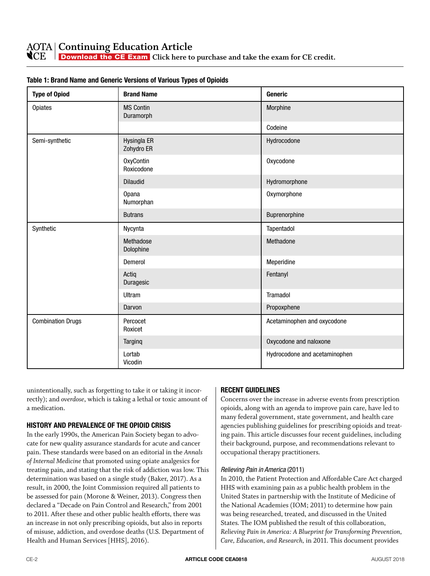**N**CE  $\overline{\phantom{a}}$ Download the CE Exam **[Click here to purchase and take the exam for CE credit.](https://myaota.aota.org/shop_aota/prodview.aspx?PID=326680677&SKU=CEA0118&TYPE=D)** 

| <b>Type of Opiod</b>     | <b>Brand Name</b>              | <b>Generic</b>                |
|--------------------------|--------------------------------|-------------------------------|
| <b>Opiates</b>           | <b>MS Contin</b><br>Duramorph  | Morphine                      |
|                          |                                | Codeine                       |
| Semi-synthetic           | Hysingla ER<br>Zohydro ER      | Hydrocodone                   |
|                          | <b>OxyContin</b><br>Roxicodone | Oxycodone                     |
|                          | <b>Dilaudid</b>                | Hydromorphone                 |
|                          | <b>Opana</b><br>Numorphan      | Oxymorphone                   |
|                          | <b>Butrans</b>                 | Buprenorphine                 |
| Synthetic                | Nycynta                        | Tapentadol                    |
|                          | Methadose<br>Dolophine         | Methadone                     |
|                          | Demerol                        | Meperidine                    |
|                          | Actiq<br>Duragesic             | Fentanyl                      |
|                          | <b>Ultram</b>                  | Tramadol                      |
|                          | Darvon                         | Propoxphene                   |
| <b>Combination Drugs</b> | Percocet<br>Roxicet            | Acetaminophen and oxycodone   |
|                          | Targinq                        | Oxycodone and naloxone        |
|                          | Lortab<br>Vicodin              | Hydrocodone and acetaminophen |

#### **Table 1: Brand Name and Generic Versions of Various Types of Opioids**

unintentionally, such as forgetting to take it or taking it incorrectly); and *overdose*, which is taking a lethal or toxic amount of a medication.

#### **HISTORY AND PREVALENCE OF THE OPIOID CRISIS**

In the early 1990s, the American Pain Society began to advocate for new quality assurance standards for acute and cancer pain. These standards were based on an editorial in the *Annals of Internal Medicine* that promoted using opiate analgesics for treating pain, and stating that the risk of addiction was low. This determination was based on a single study (Baker, 2017). As a result, in 2000, the Joint Commission required all patients to be assessed for pain (Morone & Weiner, 2013). Congress then declared a "Decade on Pain Control and Research," from 2001 to 2011. After these and other public health efforts, there was an increase in not only prescribing opioids, but also in reports of misuse, addiction, and overdose deaths (U.S. Department of Health and Human Services [HHS], 2016).

#### **RECENT GUIDELINES**

Concerns over the increase in adverse events from prescription opioids, along with an agenda to improve pain care, have led to many federal government, state government, and health care agencies publishing guidelines for prescribing opioids and treating pain. This article discusses four recent guidelines, including their background, purpose, and recommendations relevant to occupational therapy practitioners.

#### *Relieving Pain in America* (2011)

In 2010, the Patient Protection and Affordable Care Act charged HHS with examining pain as a public health problem in the United States in partnership with the Institute of Medicine of the National Academies (IOM; 2011) to determine how pain was being researched, treated, and discussed in the United States. The IOM published the result of this collaboration, *Relieving Pain in America: A Blueprint for Transforming Prevention, Care, Education, and Research,* in 2011. This document provides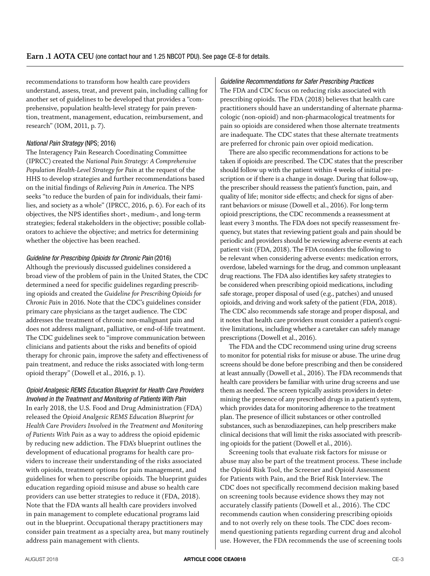recommendations to transform how health care providers understand, assess, treat, and prevent pain, including calling for another set of guidelines to be developed that provides a "comprehensive, population health-level strategy for pain prevention, treatment, management, education, reimbursement, and research" (IOM, 2011, p. 7).

#### *National Pain Strategy* (NPS; 2016)

The Interagency Pain Research Coordinating Committee (IPRCC) created the *National Pain Strategy: A Comprehensive Population Health-Level Strategy for Pain* at the request of the HHS to develop strategies and further recommendations based on the initial findings of *Relieving Pain in America*. The NPS seeks "to reduce the burden of pain for individuals, their families, and society as a whole" (IPRCC, 2016, p. 6). For each of its objectives, the NPS identifies short-, medium-, and long-term strategies; federal stakeholders in the objective; possible collaborators to achieve the objective; and metrics for determining whether the objective has been reached.

#### *Guideline for Prescribing Opioids for Chronic Pain* (2016)

Although the previously discussed guidelines considered a broad view of the problem of pain in the United States, the CDC determined a need for specific guidelines regarding prescribing opioids and created the *Guideline for Prescribing Opioids for Chronic Pain* in 2016. Note that the CDC's guidelines consider primary care physicians as the target audience. The CDC addresses the treatment of chronic non-malignant pain and does not address malignant, palliative, or end-of-life treatment. The CDC guidelines seek to "improve communication between clinicians and patients about the risks and benefits of opioid therapy for chronic pain, improve the safety and effectiveness of pain treatment, and reduce the risks associated with long-term opioid therapy" (Dowell et al., 2016, p. 1).

#### *Opioid Analgesic REMS Education Blueprint for Health Care Providers Involved in the Treatment and Monitoring of Patients With Pain*

In early 2018, the U.S. Food and Drug Administration (FDA) released the *Opioid Analgesic REMS Education Blueprint for Health Care Providers Involved in the Treatment and Monitoring of Patients With Pain* as a way to address the opioid epidemic by reducing new addiction. The FDA's blueprint outlines the development of educational programs for health care providers to increase their understanding of the risks associated with opioids, treatment options for pain management, and guidelines for when to prescribe opioids. The blueprint guides education regarding opioid misuse and abuse so health care providers can use better strategies to reduce it (FDA, 2018). Note that the FDA wants all health care providers involved in pain management to complete educational programs laid out in the blueprint. Occupational therapy practitioners may consider pain treatment as a specialty area, but many routinely address pain management with clients.

#### *Guideline Recommendations for Safer Prescribing Practices*

The FDA and CDC focus on reducing risks associated with prescribing opioids. The FDA (2018) believes that health care practitioners should have an understanding of alternate pharmacologic (non-opioid) and non-pharmacological treatments for pain so opioids are considered when those alternate treatments are inadequate. The CDC states that these alternate treatments are preferred for chronic pain over opioid medication.

There are also specific recommendations for actions to be taken if opioids are prescribed. The CDC states that the prescriber should follow up with the patient within 4 weeks of initial prescription or if there is a change in dosage. During that follow-up, the prescriber should reassess the patient's function, pain, and quality of life; monitor side effects; and check for signs of aberrant behaviors or misuse (Dowell et al., 2016). For long-term opioid prescriptions, the CDC recommends a reassessment at least every 3 months. The FDA does not specify reassessment frequency, but states that reviewing patient goals and pain should be periodic and providers should be reviewing adverse events at each patient visit (FDA, 2018). The FDA considers the following to be relevant when considering adverse events: medication errors, overdose, labeled warnings for the drug, and common unpleasant drug reactions. The FDA also identifies key safety strategies to be considered when prescribing opioid medications, including safe storage, proper disposal of used (e.g., patches) and unused opioids, and driving and work safety of the patient (FDA, 2018). The CDC also recommends safe storage and proper disposal, and it notes that health care providers must consider a patient's cognitive limitations, including whether a caretaker can safely manage prescriptions (Dowell et al., 2016).

The FDA and the CDC recommend using urine drug screens to monitor for potential risks for misuse or abuse. The urine drug screens should be done before prescribing and then be considered at least annually (Dowell et al., 2016). The FDA recommends that health care providers be familiar with urine drug screens and use them as needed. The screen typically assists providers in determining the presence of any prescribed drugs in a patient's system, which provides data for monitoring adherence to the treatment plan. The presence of illicit substances or other controlled substances, such as benzodiazepines, can help prescribers make clinical decisions that will limit the risks associated with prescribing opioids for the patient (Dowell et al., 2016).

Screening tools that evaluate risk factors for misuse or abuse may also be part of the treatment process. These include the Opioid Risk Tool, the Screener and Opioid Assessment for Patients with Pain, and the Brief Risk Interview. The CDC does not specifically recommend decision making based on screening tools because evidence shows they may not accurately classify patients (Dowell et al., 2016). The CDC recommends caution when considering prescribing opioids and to not overly rely on these tools. The CDC does recommend questioning patients regarding current drug and alcohol use. However, the FDA recommends the use of screening tools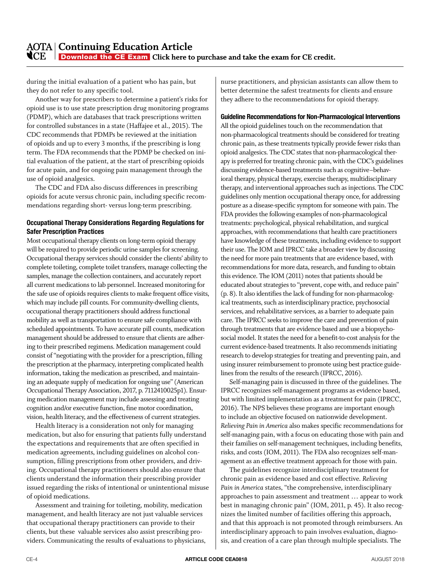during the initial evaluation of a patient who has pain, but they do not refer to any specific tool.

Another way for prescribers to determine a patient's risks for opioid use is to use state prescription drug monitoring programs (PDMP), which are databases that track prescriptions written for controlled substances in a state (Haffajee et al., 2015). The CDC recommends that PDMPs be reviewed at the initiation of opioids and up to every 3 months, if the prescribing is long term. The FDA recommends that the PDMP be checked on initial evaluation of the patient, at the start of prescribing opioids for acute pain, and for ongoing pain management through the use of opioid analgesics.

The CDC and FDA also discuss differences in prescribing opioids for acute versus chronic pain, including specific recommendations regarding short- versus long-term prescribing.

#### **Occupational Therapy Considerations Regarding Regulations for Safer Prescription Practices**

Most occupational therapy clients on long-term opioid therapy will be required to provide periodic urine samples for screening. Occupational therapy services should consider the clients' ability to complete toileting, complete toilet transfers, manage collecting the samples, manage the collection containers, and accurately report all current medications to lab personnel. Increased monitoring for the safe use of opioids requires clients to make frequent office visits, which may include pill counts. For community-dwelling clients, occupational therapy practitioners should address functional mobility as well as transportation to ensure safe compliance with scheduled appointments. To have accurate pill counts, medication management should be addressed to ensure that clients are adhering to their prescribed regimens. Medication management could consist of "negotiating with the provider for a prescription, filling the prescription at the pharmacy, interpreting complicated health information, taking the medication as prescribed, and maintaining an adequate supply of medication for ongoing use" (American Occupational Therapy Association, 2017, p. 7112410025p1). Ensuring medication management may include assessing and treating cognition and/or executive function, fine motor coordination, vision, health literacy, and the effectiveness of current strategies.

Health literacy is a consideration not only for managing medication, but also for ensuring that patients fully understand the expectations and requirements that are often specified in medication agreements, including guidelines on alcohol consumption, filling prescriptions from other providers, and driving. Occupational therapy practitioners should also ensure that clients understand the information their prescribing provider issued regarding the risks of intentional or unintentional misuse of opioid medications.

Assessment and training for toileting, mobility, medication management, and health literacy are not just valuable services that occupational therapy practitioners can provide to their clients, but these valuable services also assist prescribing providers. Communicating the results of evaluations to physicians, nurse practitioners, and physician assistants can allow them to better determine the safest treatments for clients and ensure they adhere to the recommendations for opioid therapy.

#### **Guideline Recommendations for Non-Pharmacological Interventions**

All the opioid guidelines touch on the recommendation that non-pharmacological treatments should be considered for treating chronic pain, as these treatments typically provide fewer risks than opioid analgesics. The CDC states that non-pharmacological therapy is preferred for treating chronic pain, with the CDC's guidelines discussing evidence-based treatments such as cognitive–behavioral therapy, physical therapy, exercise therapy, multidisciplinary therapy, and interventional approaches such as injections. The CDC guidelines only mention occupational therapy once, for addressing posture as a disease-specific symptom for someone with pain. The FDA provides the following examples of non-pharmacological treatments: psychological, physical rehabilitation, and surgical approaches, with recommendations that health care practitioners have knowledge of these treatments, including evidence to support their use. The IOM and IPRCC take a broader view by discussing the need for more pain treatments that are evidence based, with recommendations for more data, research, and funding to obtain this evidence. The IOM (2011) notes that patients should be educated about strategies to "prevent, cope with, and reduce pain" (p. 8). It also identifies the lack of funding for non-pharmacological treatments, such as interdisciplinary practice, psychosocial services, and rehabilitative services, as a barrier to adequate pain care. The IPRCC seeks to improve the care and prevention of pain through treatments that are evidence based and use a biopsychosocial model. It states the need for a benefit-to-cost analysis for the current evidence-based treatments. It also recommends initiating research to develop strategies for treating and preventing pain, and using insurer reimbursement to promote using best practice guidelines from the results of the research (IPRCC, 2016).

Self-managing pain is discussed in three of the guidelines. The IPRCC recognizes self-management programs as evidence based, but with limited implementation as a treatment for pain (IPRCC, 2016). The NPS believes these programs are important enough to include an objective focused on nationwide development. *Relieving Pain in America* also makes specific recommendations for self-managing pain, with a focus on educating those with pain and their families on self-management techniques, including benefits, risks, and costs (IOM, 2011). The FDA also recognizes self-management as an effective treatment approach for those with pain.

The guidelines recognize interdisciplinary treatment for chronic pain as evidence based and cost effective. *Relieving Pain in America* states, "the comprehensive, interdisciplinary approaches to pain assessment and treatment … appear to work best in managing chronic pain" (IOM, 2011, p. 45). It also recognizes the limited number of facilities offering this approach, and that this approach is not promoted through reimbursers. An interdisciplinary approach to pain involves evaluation, diagnosis, and creation of a care plan through multiple specialists. The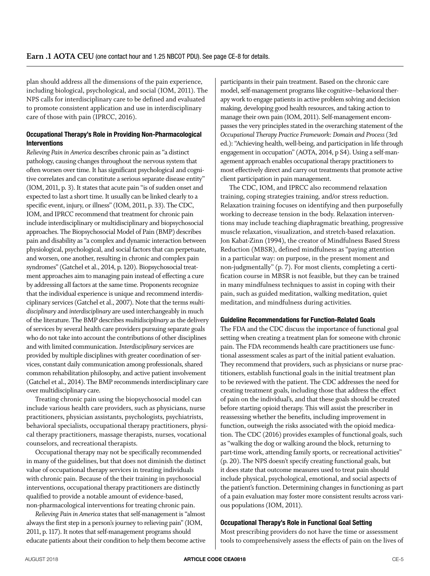plan should address all the dimensions of the pain experience, including biological, psychological, and social (IOM, 2011). The NPS calls for interdisciplinary care to be defined and evaluated to promote consistent application and use in interdisciplinary care of those with pain (IPRCC, 2016).

#### **Occupational Therapy's Role in Providing Non-Pharmacological Interventions**

*Relieving Pain in America* describes chronic pain as "a distinct pathology, causing changes throughout the nervous system that often worsen over time. It has significant psychological and cognitive correlates and can constitute a serious separate disease entity" (IOM, 2011, p. 3). It states that acute pain "is of sudden onset and expected to last a short time. It usually can be linked clearly to a specific event, injury, or illness" (IOM, 2011, p. 33). The CDC, IOM, and IPRCC recommend that treatment for chronic pain include interdisciplinary or multidisciplinary and biopsychosocial approaches. The Biopsychosocial Model of Pain (BMP) describes pain and disability as "a complex and dynamic interaction between physiological, psychological, and social factors that can perpetuate, and worsen, one another, resulting in chronic and complex pain syndromes" (Gatchel et al., 2014, p. 120). Biopsychosocial treatment approaches aim to managing pain instead of effecting a cure by addressing all factors at the same time. Proponents recognize that the individual experience is unique and recommend interdisciplinary services (Gatchel et al., 2007). Note that the terms *multidisciplinary* and *interdisciplinary* are used interchangeably in much of the literature. The BMP describes *multidisciplinary* as the delivery of services by several health care providers pursuing separate goals who do not take into account the contributions of other disciplines and with limited communication. *Interdisciplinary* services are provided by multiple disciplines with greater coordination of services, constant daily communication among professionals, shared common rehabilitation philosophy, and active patient involvement (Gatchel et al., 2014). The BMP recommends interdisciplinary care over multidisciplinary care.

Treating chronic pain using the biopsychosocial model can include various health care providers, such as physicians, nurse practitioners, physician assistants, psychologists, psychiatrists, behavioral specialists, occupational therapy practitioners, physical therapy practitioners, massage therapists, nurses, vocational counselors, and recreational therapists.

Occupational therapy may not be specifically recommended in many of the guidelines, but that does not diminish the distinct value of occupational therapy services in treating individuals with chronic pain. Because of the their training in psychosocial interventions, occupational therapy practitioners are distinctly qualified to provide a notable amount of evidence-based, non-pharmacological interventions for treating chronic pain.

*Relieving Pain in America* states that self-management is "almost always the first step in a person's journey to relieving pain" (IOM, 2011, p. 117). It notes that self-management programs should educate patients about their condition to help them become active participants in their pain treatment. Based on the chronic care model, self-management programs like cognitive–behavioral therapy work to engage patients in active problem solving and decision making, developing good health resources, and taking action to manage their own pain (IOM, 2011). Self-management encompasses the very principles stated in the overarching statement of the *Occupational Therapy Practice Framework: Domain and Process* (3rd ed.): "Achieving health, well-being, and participation in life through engagement in occupation" (AOTA, 2014, p S4). Using a self-management approach enables occupational therapy practitioners to most effectively direct and carry out treatments that promote active client participation in pain management.

The CDC, IOM, and IPRCC also recommend relaxation training, coping strategies training, and/or stress reduction. Relaxation training focuses on identifying and then purposefully working to decrease tension in the body. Relaxation interventions may include teaching diaphragmatic breathing, progressive muscle relaxation, visualization, and stretch-based relaxation. Jon Kabat-Zinn (1994), the creator of Mindfulness Based Stress Reduction (MBSR), defined mindfulness as "paying attention in a particular way: on purpose, in the present moment and non-judgmentally" (p. 7). For most clients, completing a certification course in MBSR is not feasible, but they can be trained in many mindfulness techniques to assist in coping with their pain, such as guided meditation, walking meditation, quiet meditation, and mindfulness during activities.

#### **Guideline Recommendations for Function-Related Goals**

The FDA and the CDC discuss the importance of functional goal setting when creating a treatment plan for someone with chronic pain. The FDA recommends health care practitioners use functional assessment scales as part of the initial patient evaluation. They recommend that providers, such as physicians or nurse practitioners, establish functional goals in the initial treatment plan to be reviewed with the patient. The CDC addresses the need for creating treatment goals, including those that address the effect of pain on the individual's, and that these goals should be created before starting opioid therapy. This will assist the prescriber in reassessing whether the benefits, including improvement in function, outweigh the risks associated with the opioid medication. The CDC (2016) provides examples of functional goals, such as "walking the dog or walking around the block, returning to part-time work, attending family sports, or recreational activities" (p. 20). The NPS doesn't specify creating functional goals, but it does state that outcome measures used to treat pain should include physical, psychological, emotional, and social aspects of the patient's function. Determining changes in functioning as part of a pain evaluation may foster more consistent results across various populations (IOM, 2011).

#### **Occupational Therapy's Role in Functional Goal Setting**

Most prescribing providers do not have the time or assessment tools to comprehensively assess the effects of pain on the lives of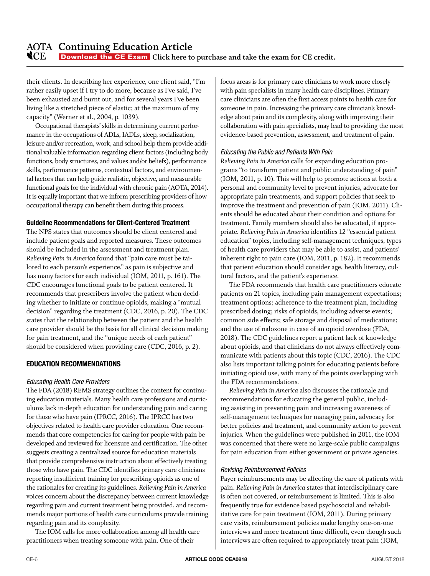their clients. In describing her experience, one client said, "I'm rather easily upset if I try to do more, because as I've said, I've been exhausted and burnt out, and for several years I've been living like a stretched piece of elastic; at the maximum of my capacity" (Werner et al., 2004, p. 1039).

Occupational therapists' skills in determining current performance in the occupations of ADLs, IADLs, sleep, socialization, leisure and/or recreation, work, and school help them provide additional valuable information regarding client factors (including body functions, body structures, and values and/or beliefs), performance skills, performance patterns, contextual factors, and environmental factors that can help guide realistic, objective, and measurable functional goals for the individual with chronic pain (AOTA, 2014). It is equally important that we inform prescribing providers of how occupational therapy can benefit them during this process.

#### **Guideline Recommendations for Client-Centered Treatment**

The NPS states that outcomes should be client centered and include patient goals and reported measures. These outcomes should be included in the assessment and treatment plan. *Relieving Pain in America* found that "pain care must be tailored to each person's experience," as pain is subjective and has many factors for each individual (IOM, 2011, p. 161). The CDC encourages functional goals to be patient centered. It recommends that prescribers involve the patient when deciding whether to initiate or continue opioids, making a "mutual decision" regarding the treatment (CDC, 2016, p. 20). The CDC states that the relationship between the patient and the health care provider should be the basis for all clinical decision making for pain treatment, and the "unique needs of each patient" should be considered when providing care (CDC, 2016, p. 2).

#### **EDUCATION RECOMMENDATIONS**

#### *Educating Health Care Providers*

The FDA (2018) REMS strategy outlines the content for continuing education materials. Many health care professions and curriculums lack in-depth education for understanding pain and caring for those who have pain (IPRCC, 2016). The IPRCC has two objectives related to health care provider education. One recommends that core competencies for caring for people with pain be developed and reviewed for licensure and certification. The other suggests creating a centralized source for education materials that provide comprehensive instruction about effectively treating those who have pain. The CDC identifies primary care clinicians reporting insufficient training for prescribing opioids as one of the rationales for creating its guidelines. *Relieving Pain in America* voices concern about the discrepancy between current knowledge regarding pain and current treatment being provided, and recommends major portions of health care curriculums provide training regarding pain and its complexity.

The IOM calls for more collaboration among all health care practitioners when treating someone with pain. One of their

focus areas is for primary care clinicians to work more closely with pain specialists in many health care disciplines. Primary care clinicians are often the first access points to health care for someone in pain. Increasing the primary care clinician's knowledge about pain and its complexity, along with improving their collaboration with pain specialists, may lead to providing the most evidence-based prevention, assessment, and treatment of pain.

#### *Educating the Public and Patients With Pain*

*Relieving Pain in America* calls for expanding education programs "to transform patient and public understanding of pain" (IOM, 2011, p. 10). This will help to promote actions at both a personal and community level to prevent injuries, advocate for appropriate pain treatments, and support policies that seek to improve the treatment and prevention of pain (IOM, 2011). Clients should be educated about their condition and options for treatment. Family members should also be educated, if appropriate. *Relieving Pain in America* identifies 12 "essential patient education" topics, including self-management techniques, types of health care providers that may be able to assist, and patients' inherent right to pain care (IOM, 2011, p. 182). It recommends that patient education should consider age, health literacy, cultural factors, and the patient's experience.

The FDA recommends that health care practitioners educate patients on 21 topics, including pain management expectations; treatment options; adherence to the treatment plan, including prescribed dosing; risks of opioids, including adverse events; common side effects; safe storage and disposal of medications; and the use of naloxone in case of an opioid overdose (FDA, 2018). The CDC guidelines report a patient lack of knowledge about opioids, and that clinicians do not always effectively communicate with patients about this topic (CDC, 2016). The CDC also lists important talking points for educating patients before initiating opioid use, with many of the points overlapping with the FDA recommendations.

*Relieving Pain in America* also discusses the rationale and recommendations for educating the general public, including assisting in preventing pain and increasing awareness of self-management techniques for managing pain, advocacy for better policies and treatment, and community action to prevent injuries. When the guidelines were published in 2011, the IOM was concerned that there were no large-scale public campaigns for pain education from either government or private agencies.

#### *Revising Reimbursement Policies*

Payer reimbursements may be affecting the care of patients with pain. *Relieving Pain in America* states that interdisciplinary care is often not covered, or reimbursement is limited. This is also frequently true for evidence based psychosocial and rehabilitative care for pain treatment (IOM, 2011). During primary care visits, reimbursement policies make lengthy one-on-one interviews and more treatment time difficult, even though such interviews are often required to appropriately treat pain (IOM,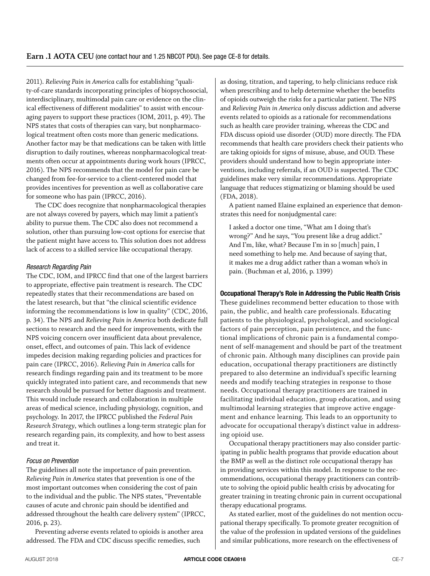2011). *Relieving Pain in America* calls for establishing "quality-of-care standards incorporating principles of biopsychosocial, interdisciplinary, multimodal pain care or evidence on the clinical effectiveness of different modalities" to assist with encouraging payers to support these practices (IOM, 2011, p. 49). The NPS states that costs of therapies can vary, but nonpharmacological treatment often costs more than generic medications. Another factor may be that medications can be taken with little disruption to daily routines, whereas nonpharmacological treatments often occur at appointments during work hours (IPRCC, 2016). The NPS recommends that the model for pain care be changed from fee-for-service to a client-centered model that provides incentives for prevention as well as collaborative care for someone who has pain (IPRCC, 2016).

The CDC does recognize that nonpharmacological therapies are not always covered by payers, which may limit a patient's ability to pursue them. The CDC also does not recommend a solution, other than pursuing low-cost options for exercise that the patient might have access to. This solution does not address lack of access to a skilled service like occupational therapy.

#### *Research Regarding Pain*

The CDC, IOM, and IPRCC find that one of the largest barriers to appropriate, effective pain treatment is research. The CDC repeatedly states that their recommendations are based on the latest research, but that "the clinical scientific evidence informing the recommendations is low in quality" (CDC, 2016, p. 34). The NPS and *Relieving Pain in America* both dedicate full sections to research and the need for improvements, with the NPS voicing concern over insufficient data about prevalence, onset, effect, and outcomes of pain. This lack of evidence impedes decision making regarding policies and practices for pain care (IPRCC, 2016). *Relieving Pain in America* calls for research findings regarding pain and its treatment to be more quickly integrated into patient care, and recommends that new research should be pursued for better diagnosis and treatment. This would include research and collaboration in multiple areas of medical science, including physiology, cognition, and psychology. In 2017, the IPRCC published the *Federal Pain Research Strategy*, which outlines a long-term strategic plan for research regarding pain, its complexity, and how to best assess and treat it.

#### *Focus on Prevention*

The guidelines all note the importance of pain prevention. *Relieving Pain in America* states that prevention is one of the most important outcomes when considering the cost of pain to the individual and the public. The NPS states, "Preventable causes of acute and chronic pain should be identified and addressed throughout the health care delivery system" (IPRCC, 2016, p. 23).

Preventing adverse events related to opioids is another area addressed. The FDA and CDC discuss specific remedies, such

as dosing, titration, and tapering, to help clinicians reduce risk when prescribing and to help determine whether the benefits of opioids outweigh the risks for a particular patient. The NPS and *Relieving Pain in America* only discuss addiction and adverse events related to opioids as a rationale for recommendations such as health care provider training, whereas the CDC and FDA discuss opioid use disorder (OUD) more directly. The FDA recommends that health care providers check their patients who are taking opioids for signs of misuse, abuse, and OUD. These providers should understand how to begin appropriate interventions, including referrals, if an OUD is suspected. The CDC guidelines make very similar recommendations. Appropriate language that reduces stigmatizing or blaming should be used (FDA, 2018).

A patient named Elaine explained an experience that demonstrates this need for nonjudgmental care:

I asked a doctor one time, "What am I doing that's wrong?" And he says, "You present like a drug addict." And I'm, like, what? Because I'm in so [much] pain, I need something to help me. And because of saying that, it makes me a drug addict rather than a woman who's in pain. (Buchman et al, 2016, p. 1399)

#### **Occupational Therapy's Role in Addressing the Public Health Crisis**

These guidelines recommend better education to those with pain, the public, and health care professionals. Educating patients to the physiological, psychological, and sociological factors of pain perception, pain persistence, and the functional implications of chronic pain is a fundamental component of self-management and should be part of the treatment of chronic pain. Although many disciplines can provide pain education, occupational therapy practitioners are distinctly prepared to also determine an individual's specific learning needs and modify teaching strategies in response to those needs. Occupational therapy practitioners are trained in facilitating individual education, group education, and using multimodal learning strategies that improve active engagement and enhance learning. This leads to an opportunity to advocate for occupational therapy's distinct value in addressing opioid use.

Occupational therapy practitioners may also consider participating in public health programs that provide education about the BMP as well as the distinct role occupational therapy has in providing services within this model. In response to the recommendations, occupational therapy practitioners can contribute to solving the opioid public health crisis by advocating for greater training in treating chronic pain in current occupational therapy educational programs.

As stated earlier, most of the guidelines do not mention occupational therapy specifically. To promote greater recognition of the value of the profession in updated versions of the guidelines and similar publications, more research on the effectiveness of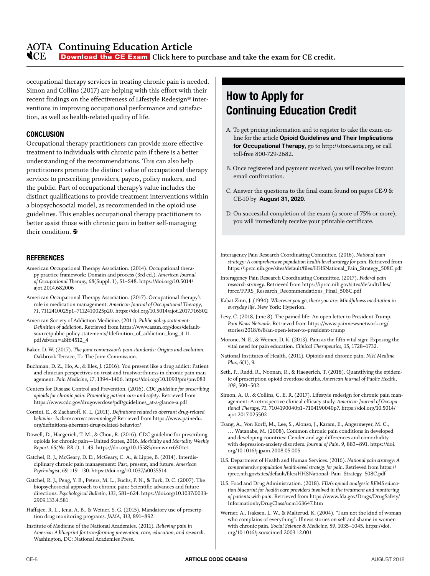### <span id="page-7-0"></span>**Continuing Education Article**

**NOCE [Download the CE Exam](https://myaota.aota.org/shop_aota/prodview.aspx?PID=326680677&SKU=CEA0118&TYPE=D)** Click here to purchase and take the exam for CE credit.

occupational therapy services in treating chronic pain is needed. Simon and Collins (2017) are helping with this effort with their recent findings on the effectiveness of Lifestyle Redesign® interventions in improving occupational performance and satisfaction, as well as health-related quality of life.

#### **CONCLUSION**

Occupational therapy practitioners can provide more effective treatment to individuals with chronic pain if there is a better understanding of the recommendations. This can also help practitioners promote the distinct value of occupational therapy services to prescribing providers, payers, policy makers, and the public. Part of occupational therapy's value includes the distinct qualifications to provide treatment interventions within a biopsychosocial model, as recommended in the opioid use guidelines. This enables occupational therapy practitioners to better assist those with chronic pain in better self-managing their condition.  $\mathbf{\mathbf{\Phi}}$ 

#### **REFERENCES**

- American Occupational Therapy Association. (2014). Occupational therapy practice framework: Domain and process (3rd ed.). *American Journal of Occupational Therapy, 68*(Suppl. 1), S1–S48. [https://doi.org/10.5014/](https://doi.org/10.5014/ajot.2014.682006) [ajot.2014.682006](https://doi.org/10.5014/ajot.2014.682006)
- American Occupational Therapy Association. (2017). Occupational therapy's role in medication management. *American Journal of Occupational Therapy*, *71*, 7112410025p1–7112410025p20.<https://doi.org/10.5014/ajot.2017.716S02>
- American Society of Addiction Medicine. (2011). *Public policy statement: Definition of addiction*. Retrieved from [https://www.asam.org/docs/default](https://www.asam.org/docs/default-source/public-policy-statements/1definition_of_addiction_long_4-11.pdf?sfvrsn=a8f64512_4)[source/public-policy-statements/1definition\\_of\\_addiction\\_long\\_4-11.](https://www.asam.org/docs/default-source/public-policy-statements/1definition_of_addiction_long_4-11.pdf?sfvrsn=a8f64512_4) [pdf?sfvrsn=a8f64512\\_4](https://www.asam.org/docs/default-source/public-policy-statements/1definition_of_addiction_long_4-11.pdf?sfvrsn=a8f64512_4)
- Baker, D. W. (2017). *The joint commission's pain standards: Origins and evolution*. Oakbrook Terrace, IL: The Joint Commission.
- Buchman, D. Z., Ho, A., & Illes, J. (2016). You present like a drug addict: Patient and clinician perspectives on trust and trustworthiness in chronic pain management. *Pain Medicine*, *17*, 1394–1406.<https://doi.org/10.1093/pm/pnv083>
- Centers for Disease Control and Prevention. (2016). *CDC guideline for prescribing opioids for chronic pain: Promoting patient care and safety*. Retrieved from [https://www.cdc.gov/drugoverdose/pdf/guidelines\\_at-a-glance-a.pdf](https://www.cdc.gov/drugoverdose/pdf/guidelines_at-a-glance-a.pdf)
- Corsini, E., & Zacharoff, K. L. (2011). *Definitions related to aberrant drug-related behavior: Is there correct terminology?* Retrieved from [https://www.painedu.](https://www.painedu.org/definitions-aberrant-drug-related-behavior/) [org/definitions-aberrant-drug-related-behavior/](https://www.painedu.org/definitions-aberrant-drug-related-behavior/)
- Dowell, D., Haegerich, T. M., & Chou, R. (2016). CDC guideline for prescribing opioids for chronic pain—United States, 2016. *Morbidity and Mortality Weekly Report*, *65(No. RR-1)*, 1–49. <https://doi.org/10.15585/mmwr.rr6501e1>
- Gatchel, R. J., McGeary, D. D., McGeary, C. A., & Lippe, B. (2014). Interdisciplinary chronic pain management: Past, present, and future. *American Psychologist, 69,* 119–130. <https://doi.org/10.1037/a0035514>
- Gatchel, R. J., Peng, Y. B., Peters, M. L., Fuchs, P. N., & Turk, D. C. (2007). The biopsychosocial approach to chronic pain: Scientific advances and future directions. *Psychological Bulletin, 133*, 581–624. [https://doi.org/10.1037/0033-](https://doi.org/10.1037/0033-2909.133.4.581) [2909.133.4.581](https://doi.org/10.1037/0033-2909.133.4.581)
- Haffajee, R. L., Jena, A. B., & Weiner, S. G. (2015). Mandatory use of prescription drug monitoring programs. *JAMA*, *313*, 891–892.
- Institute of Medicine of the National Academies. (2011). *Relieving pain in America: A blueprint for transforming prevention, care, education, and research*. [Washington,](file:///C:\Users\tmckenna\AppData\Local\Microsoft\Windows\Temporary%20Internet%20Files\Content.Outlook\UUI48Q3M\Washington) DC: National Academies Press.

# **How to Apply for Continuing Education Credit**

- A. To get pricing information and to register to take the exam online for the article **Opioid Guidelines and Their Implications for Occupational Therapy**, go to http://store.aota.org, or call toll-free 800-729-2682.
- B. Once registered and payment received, you will receive instant email confirmation.
- C. Answer the questions to the final exam found on pages CE-9 & CE-10 by **August 31, 2020**.
- D. On successful completion of the exam (a score of 75% or more), you will immediately receive your printable certificate.
- Interagency Pain Research Coordinating Committee. (2016). *National pain strategy: A comprehensive population health-level strategy for pain*. Retrieved from [https://iprcc.nih.gov/sites/default/files/HHSNational\\_Pain\\_Strategy\\_508C.pdf](https://iprcc.nih.gov/sites/default/files/HHSNational_Pain_Strategy_508C.pdf)
- Interagency Pain Research Coordinating Committee. (2017). *Federal pain research strategy*. Retrieved from [https://iprcc.nih.gov/sites/default/files/](https://iprcc.nih.gov/sites/default/files/iprcc/FPRS_Research_Recommendations_Final_508C.pdf) [iprcc/FPRS\\_Research\\_Recommendations\\_Final\\_508C.pdf](https://iprcc.nih.gov/sites/default/files/iprcc/FPRS_Research_Recommendations_Final_508C.pdf)
- Kabat-Zinn, J. (1994). *Wherever you go, there you are: Mindfulness meditation in everyday life*. New York: Hyperion.
- Levy, C. (2018, June 8). The pained life: An open letter to President Trump. *Pain News Network*. Retrieved from [https://www.painnewsnetwork.org/](https://www.painnewsnetwork.org/stories/2018/6/8/an-open-letter-to-president-trump) [stories/2018/6/8/an-open-letter-to-president-trump](https://www.painnewsnetwork.org/stories/2018/6/8/an-open-letter-to-president-trump)
- Morone, N. E., & Weiner, D. K. (2013). Pain as the fifth vital sign: Exposing the vital need for pain education. *Clinical Therapeutics*, *35*, 1728–1732.
- National Institutes of Health. (2011). Opioids and chronic pain. *NIH Medline Plus, 6*(1), 9.
- Seth, P., Rudd, R., Noonan, R., & Haegerich, T. (2018). Quantifying the epidemic of prescription opioid overdose deaths. *American Journal of Public Health, 108*, 500–502.
- Simon, A. U., & Collins, C. E. R. (2017). Lifestyle redesign for chronic pain management: A retrospective clinical efficacy study. *American Journal of Occupational Therapy, 71*, 7104190040p1–7104190040p7. [https://doi.org/10.5014/](https://doi.org/10.5014/ajot.2017.025502) [ajot.2017.025502](https://doi.org/10.5014/ajot.2017.025502)
- Tsang, A., Von Korff, M., Lee, S., Alonso, J., Karam, E., Angermeyer, M. C., … Watanabe, M. (2008). Common chronic pain conditions in developed and developing countries: Gender and age differences and comorbidity with depression-anxiety disorders. *Journal of Pain, 9*, 883–891. [https://doi.](https://doi.org/10.1016/j.jpain.2008.05.005) [org/10.1016/j.jpain.2008.05.005](https://doi.org/10.1016/j.jpain.2008.05.005)
- U.S. Department of Health and Human Services. (2016). *National pain strategy: A comprehensive population health-level strategy for pain*. Retrieved from [https://](https://iprcc.nih.gov/sites/default/files/HHSNational_Pain_Strategy_508C.pdf) [iprcc.nih.gov/sites/default/files/HHSNational\\_Pain\\_Strategy\\_508C.pdf](https://iprcc.nih.gov/sites/default/files/HHSNational_Pain_Strategy_508C.pdf)
- U.S. Food and Drug Administration. (2018). *FDA's opioid analgesic REMS education blueprint for health care providers involved in the treatment and monitoring of patients with pain*. Retrieved from [https://www.fda.gov/Drugs/DrugSafety/](https://www.fda.gov/Drugs/DrugSafety/InformationbyDrugClass/ucm163647.htm) [InformationbyDrugClass/ucm163647.htm](https://www.fda.gov/Drugs/DrugSafety/InformationbyDrugClass/ucm163647.htm)
- Werner, A., Isaksen, L. W., & Malterud, K. (2004). "I am not the kind of woman who complains of everything": Illness stories on self and shame in women with chronic pain. *Social Science & Medicine*, *59*, 1035–1045. [https://doi.](https://doi.org/10.1016/j.socscimed.2003.12.001) [org/10.1016/j.socscimed.2003.12.001](https://doi.org/10.1016/j.socscimed.2003.12.001)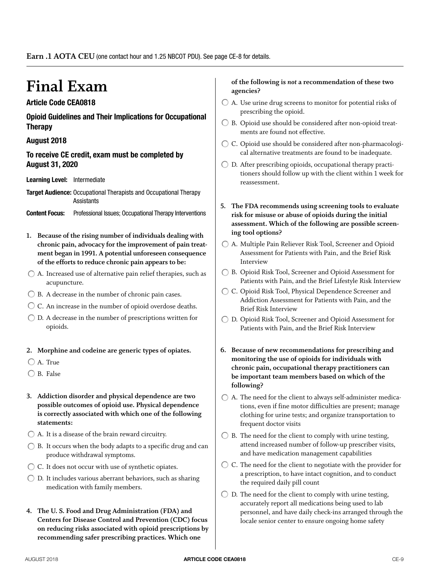# **Final Exam**

#### **Article Code CEA0818**

**Opioid Guidelines and Their Implications for Occupational Therapy**

#### **August 2018**

#### **To receive CE credit, exam must be completed by August 31, 2020**

**Learning Level:** Intermediate

**Target Audience:** Occupational Therapists and Occupational Therapy **Assistants** 

- **Content Focus:** Professional Issues; Occupational Therapy Interventions
- **1. Because of the rising number of individuals dealing with chronic pain, advocacy for the improvement of pain treatment began in 1991. A potential unforeseen consequence of the efforts to reduce chronic pain appears to be:**
- A. Increased use of alternative pain relief therapies, such as acupuncture.
- $\bigcirc$  B. A decrease in the number of chronic pain cases.
- C. An increase in the number of opioid overdose deaths.
- $\bigcirc$  D. A decrease in the number of prescriptions written for opioids.
- **2. Morphine and codeine are generic types of opiates.**
- A. True
- B. False
- **3. Addiction disorder and physical dependence are two possible outcomes of opioid use. Physical dependence is correctly associated with which one of the following statements:**
- A. It is a disease of the brain reward circuitry.
- B. It occurs when the body adapts to a specific drug and can produce withdrawal symptoms.
- ◯ C. It does not occur with use of synthetic opiates.
- $\bigcirc$  D. It includes various aberrant behaviors, such as sharing medication with family members.
- **4. The U. S. Food and Drug Administration (FDA) and Centers for Disease Control and Prevention (CDC) focus on reducing risks associated with opioid prescriptions by recommending safer prescribing practices. Which one**

#### **of the following is** *not* **a recommendation of these two agencies?**

- $\bigcirc$  A. Use urine drug screens to monitor for potential risks of prescribing the opioid.
- $\bigcirc$  B. Opioid use should be considered after non-opioid treatments are found not effective.
- C. Opioid use should be considered after non-pharmacological alternative treatments are found to be inadequate.
- $\bigcirc$  D. After prescribing opioids, occupational therapy practitioners should follow up with the client within 1 week for reassessment.
- **5. The FDA recommends using screening tools to evaluate risk for misuse or abuse of opioids during the initial assessment. Which of the following are possible screening tool options?**
- A. Multiple Pain Reliever Risk Tool, Screener and Opioid Assessment for Patients with Pain, and the Brief Risk Interview
- B. Opioid Risk Tool, Screener and Opioid Assessment for Patients with Pain, and the Brief Lifestyle Risk Interview
- C. Opioid Risk Tool, Physical Dependence Screener and Addiction Assessment for Patients with Pain, and the Brief Risk Interview
- D. Opioid Risk Tool, Screener and Opioid Assessment for Patients with Pain, and the Brief Risk Interview
- **6. Because of new recommendations for prescribing and monitoring the use of opioids for individuals with chronic pain, occupational therapy practitioners can be important team members based on which of the following?**
- $\bigcirc$  A. The need for the client to always self-administer medications, even if fine motor difficulties are present; manage clothing for urine tests; and organize transportation to frequent doctor visits
- $\bigcirc$  B. The need for the client to comply with urine testing, attend increased number of follow-up prescriber visits, and have medication management capabilities
- C. The need for the client to negotiate with the provider for a prescription, to have intact cognition, and to conduct the required daily pill count
- $\bigcirc$  D. The need for the client to comply with urine testing, accurately report all medications being used to lab personnel, and have daily check-ins arranged through the locale senior center to ensure ongoing home safety